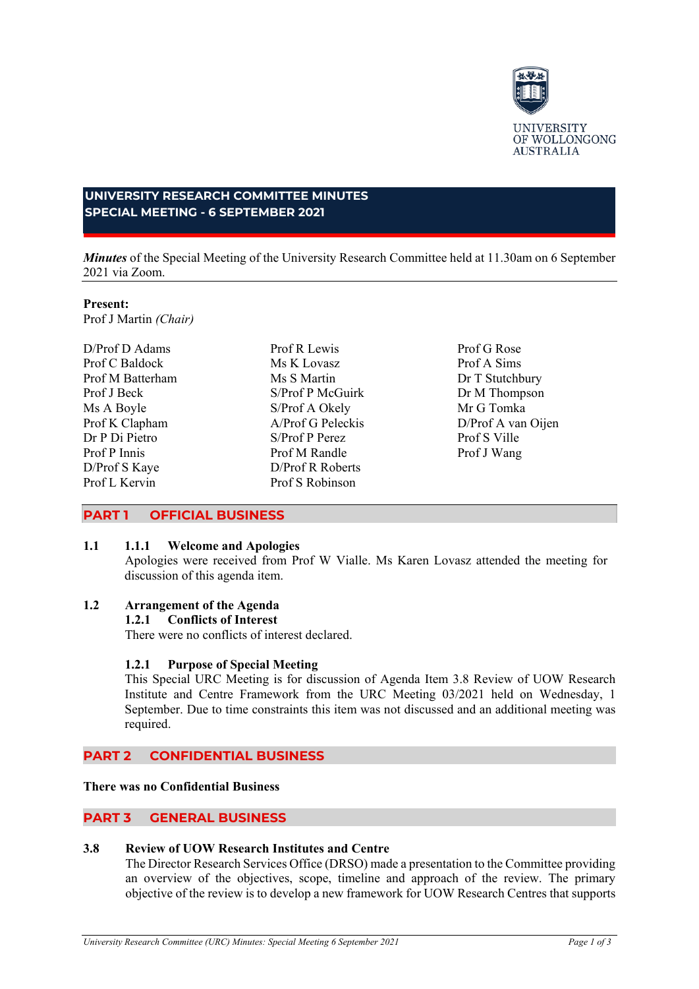

# **UNIVERSITY RESEARCH COMMITTEE MINUTES SPECIAL MEETING - 6 SEPTEMBER 2021**

*Minutes* of the Special Meeting of the University Research Committee held at 11.30am on 6 September 2021 via Zoom.

#### **Present:**

Prof J Martin *(Chair)*

D/Prof D Adams Prof C Baldock Prof M Batterham Prof J Beck Ms A Boyle Prof K Clapham Dr P Di Pietro Prof P Innis D/Prof S Kaye Prof L Kervin

Prof R Lewis Ms K Lovasz Ms S Martin S/Prof P McGuirk S/Prof A Okely A/Prof G Peleckis S/Prof P Perez Prof M Randle D/Prof R Roberts Prof S Robinson

Prof G Rose Prof A Sims Dr T Stutchbury Dr M Thompson Mr G Tomka D/Prof A van Oijen Prof S Ville Prof J Wang

## **PART 1 OFFICIAL BUSINESS**

## **1.1 1.1.1 Welcome and Apologies**

Apologies were received from Prof W Vialle. Ms Karen Lovasz attended the meeting for discussion of this agenda item.

### **1.2 Arrangement of the Agenda**

### **1.2.1 Conflicts of Interest**

There were no conflicts of interest declared.

### **1.2.1 Purpose of Special Meeting**

This Special URC Meeting is for discussion of Agenda Item 3.8 Review of UOW Research Institute and Centre Framework from the URC Meeting 03/2021 held on Wednesday, 1 September. Due to time constraints this item was not discussed and an additional meeting was required.

## **PART 2 CONFIDENTIAL BUSINESS**

#### **There was no Confidential Business**

### **PART 3 GENERAL BUSINESS**

## **3.8 Review of UOW Research Institutes and Centre**

The Director Research Services Office (DRSO) made a presentation to the Committee providing an overview of the objectives, scope, timeline and approach of the review. The primary objective of the review is to develop a new framework for UOW Research Centres that supports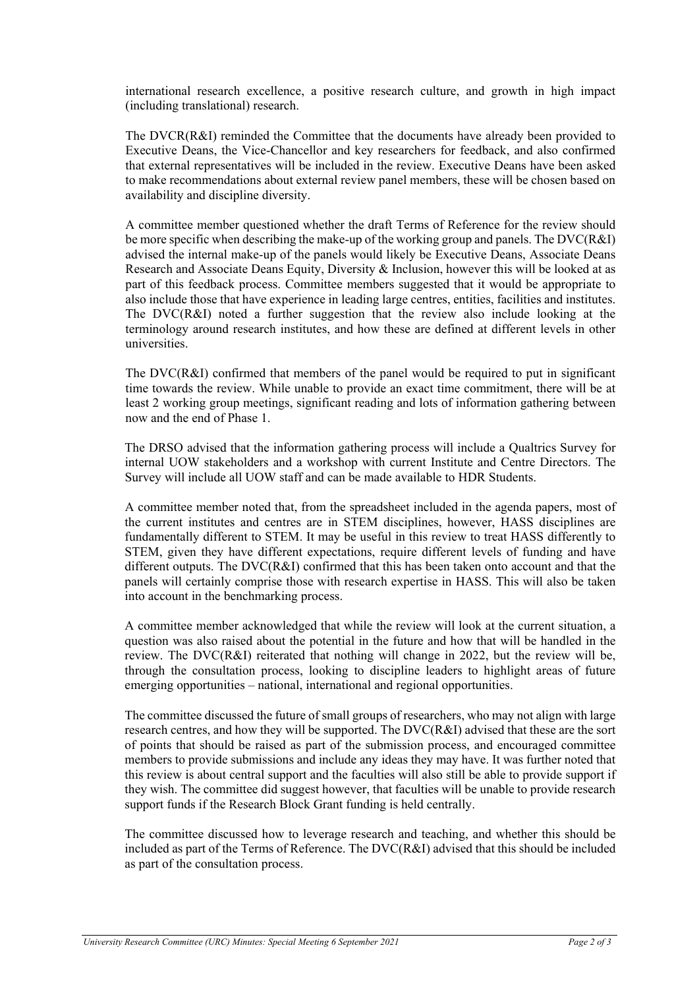international research excellence, a positive research culture, and growth in high impact (including translational) research.

The DVCR(R&I) reminded the Committee that the documents have already been provided to Executive Deans, the Vice-Chancellor and key researchers for feedback, and also confirmed that external representatives will be included in the review. Executive Deans have been asked to make recommendations about external review panel members, these will be chosen based on availability and discipline diversity.

A committee member questioned whether the draft Terms of Reference for the review should be more specific when describing the make-up of the working group and panels. The DVC(R&I) advised the internal make-up of the panels would likely be Executive Deans, Associate Deans Research and Associate Deans Equity, Diversity & Inclusion, however this will be looked at as part of this feedback process. Committee members suggested that it would be appropriate to also include those that have experience in leading large centres, entities, facilities and institutes. The DVC(R&I) noted a further suggestion that the review also include looking at the terminology around research institutes, and how these are defined at different levels in other universities.

The  $DVC(R&I)$  confirmed that members of the panel would be required to put in significant time towards the review. While unable to provide an exact time commitment, there will be at least 2 working group meetings, significant reading and lots of information gathering between now and the end of Phase 1.

The DRSO advised that the information gathering process will include a Qualtrics Survey for internal UOW stakeholders and a workshop with current Institute and Centre Directors. The Survey will include all UOW staff and can be made available to HDR Students.

A committee member noted that, from the spreadsheet included in the agenda papers, most of the current institutes and centres are in STEM disciplines, however, HASS disciplines are fundamentally different to STEM. It may be useful in this review to treat HASS differently to STEM, given they have different expectations, require different levels of funding and have different outputs. The DVC(R&I) confirmed that this has been taken onto account and that the panels will certainly comprise those with research expertise in HASS. This will also be taken into account in the benchmarking process.

A committee member acknowledged that while the review will look at the current situation, a question was also raised about the potential in the future and how that will be handled in the review. The DVC(R&I) reiterated that nothing will change in 2022, but the review will be, through the consultation process, looking to discipline leaders to highlight areas of future emerging opportunities – national, international and regional opportunities.

The committee discussed the future of small groups of researchers, who may not align with large research centres, and how they will be supported. The DVC(R&I) advised that these are the sort of points that should be raised as part of the submission process, and encouraged committee members to provide submissions and include any ideas they may have. It was further noted that this review is about central support and the faculties will also still be able to provide support if they wish. The committee did suggest however, that faculties will be unable to provide research support funds if the Research Block Grant funding is held centrally.

The committee discussed how to leverage research and teaching, and whether this should be included as part of the Terms of Reference. The DVC(R&I) advised that this should be included as part of the consultation process.